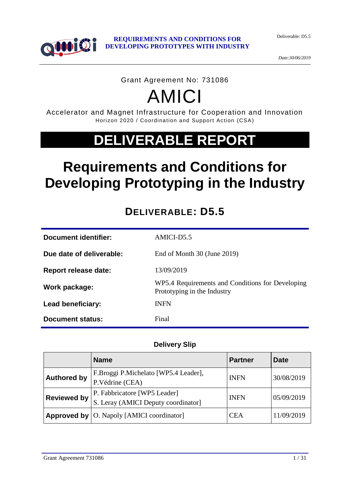



*Date:30/06/2019*

#### Grant Agreement No: 731086

# AMICI

Accelerator and Magnet Infrastructure for Cooperation and Innovation Horizon 2020 / Coordination and Support Action (CSA)

# **DELIVERABLE REPORT**

# **Requirements and Conditions for Developing Prototyping in the Industry**

# **DELIVERABLE: D5.5**

| <b>Document identifier:</b> | AMICI-D5.5                                                                      |
|-----------------------------|---------------------------------------------------------------------------------|
| Due date of deliverable:    | End of Month 30 (June 2019)                                                     |
| Report release date:        | 13/09/2019                                                                      |
| Work package:               | WP5.4 Requirements and Conditions for Developing<br>Prototyping in the Industry |
| Lead beneficiary:           | <b>INFN</b>                                                                     |
| Document status:            | Final                                                                           |

#### **Delivery Slip**

|                    | <b>Name</b>                                                         | <b>Partner</b> | <b>Date</b> |
|--------------------|---------------------------------------------------------------------|----------------|-------------|
| <b>Authored by</b> | F.Broggi P.Michelato [WP5.4 Leader],<br>P.Védrine (CEA)             | <b>INFN</b>    | 30/08/2019  |
| <b>Reviewed by</b> | P. Fabbricatore [WP5 Leader]<br>S. Leray (AMICI Deputy coordinator) | <b>INFN</b>    | 05/09/2019  |
|                    | <b>Approved by   O. Napoly [AMICI coordinator]</b>                  | CEA            | 11/09/2019  |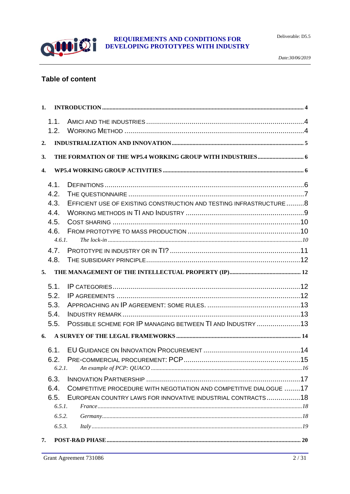

#### **Table of content**

| 1.               |                                                                    |  |
|------------------|--------------------------------------------------------------------|--|
| 1.1.             |                                                                    |  |
| 1.2.             |                                                                    |  |
| 2.               |                                                                    |  |
| 3.               |                                                                    |  |
| $\overline{4}$ . |                                                                    |  |
| 4.1.             |                                                                    |  |
| 4.2.             |                                                                    |  |
| 4.3.             | EFFICIENT USE OF EXISTING CONSTRUCTION AND TESTING INFRASTRUCTURE8 |  |
| 4.4.             |                                                                    |  |
| 4.5.             |                                                                    |  |
| 4.6.             |                                                                    |  |
|                  | 4.6.1.                                                             |  |
| 4.7.             |                                                                    |  |
| 4.8.             |                                                                    |  |
| 5.               |                                                                    |  |
| 5.1.             |                                                                    |  |
| 5.2.             |                                                                    |  |
| 5.3.             |                                                                    |  |
| 5.4.             |                                                                    |  |
| 5.5.             | POSSIBLE SCHEME FOR IP MANAGING BETWEEN TI AND INDUSTRY 13         |  |
| 6.               |                                                                    |  |
| 6.1.             |                                                                    |  |
| 6.2.             |                                                                    |  |
| 6.2.1.           |                                                                    |  |
| 6.3.             |                                                                    |  |
| 6.4.             | COMPETITIVE PROCEDURE WITH NEGOTIATION AND COMPETITIVE DIALOGUE 17 |  |
| 6.5.             | EUROPEAN COUNTRY LAWS FOR INNOVATIVE INDUSTRIAL CONTRACTS18        |  |
| 6.5.1.           |                                                                    |  |
| 6.5.2.           |                                                                    |  |
| 6.5.3.           |                                                                    |  |
| 7.               |                                                                    |  |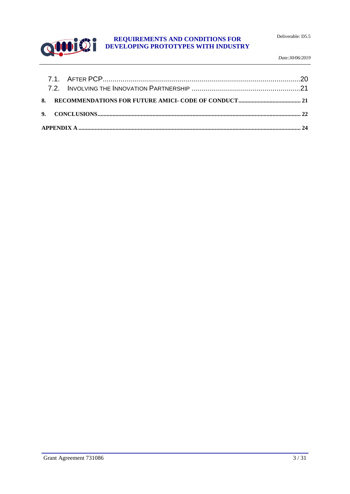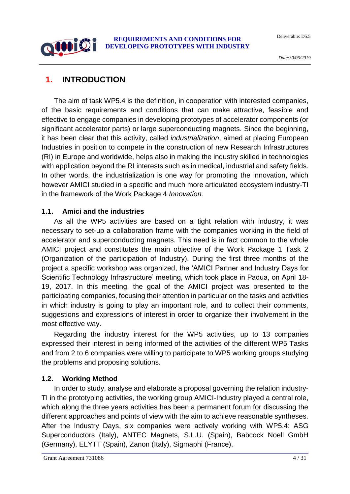# <span id="page-3-0"></span>**1. INTRODUCTION**

0000192

The aim of task WP5.4 is the definition, in cooperation with interested companies, of the basic requirements and conditions that can make attractive, feasible and effective to engage companies in developing prototypes of accelerator components (or significant accelerator parts) or large superconducting magnets. Since the beginning, it has been clear that this activity, called *industrialization*, aimed at placing European Industries in position to compete in the construction of new Research Infrastructures (RI) in Europe and worldwide, helps also in making the industry skilled in technologies with application beyond the RI interests such as in medical, industrial and safety fields. In other words, the industrialization is one way for promoting the innovation, which however AMICI studied in a specific and much more articulated ecosystem industry-TI in the framework of the Work Package 4 *Innovation.*

#### <span id="page-3-1"></span>**1.1. Amici and the industries**

As all the WP5 activities are based on a tight relation with industry, it was necessary to set-up a collaboration frame with the companies working in the field of accelerator and superconducting magnets. This need is in fact common to the whole AMICI project and constitutes the main objective of the Work Package 1 Task 2 (Organization of the participation of Industry). During the first three months of the project a specific workshop was organized, the 'AMICI Partner and Industry Days for Scientific Technology Infrastructure' meeting, which took place in Padua, on April 18- 19, 2017. In this meeting, the goal of the AMICI project was presented to the participating companies, focusing their attention in particular on the tasks and activities in which industry is going to play an important role, and to collect their comments, suggestions and expressions of interest in order to organize their involvement in the most effective way.

Regarding the industry interest for the WP5 activities, up to 13 companies expressed their interest in being informed of the activities of the different WP5 Tasks and from 2 to 6 companies were willing to participate to WP5 working groups studying the problems and proposing solutions.

#### <span id="page-3-2"></span>**1.2. Working Method**

In order to study, analyse and elaborate a proposal governing the relation industry-TI in the prototyping activities, the working group AMICI-Industry played a central role, which along the three years activities has been a permanent forum for discussing the different approaches and points of view with the aim to achieve reasonable syntheses. After the Industry Days, six companies were actively working with WP5.4: ASG Superconductors (Italy), ANTEC Magnets, S.L.U. (Spain), Babcock Noell GmbH (Germany), ELYTT (Spain), Zanon (Italy), Sigmaphi (France).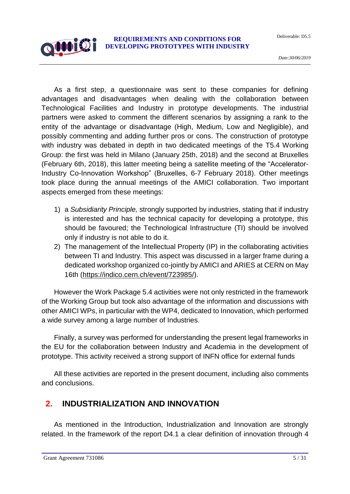As a first step, a questionnaire was sent to these companies for defining advantages and disadvantages when dealing with the collaboration between Technological Facilities and Industry in prototype developments. The industrial partners were asked to comment the different scenarios by assigning a rank to the entity of the advantage or disadvantage (High, Medium, Low and Negligible), and possibly commenting and adding further pros or cons. The construction of prototype with industry was debated in depth in two dedicated meetings of the T5.4 Working Group: the first was held in Milano (January 25th, 2018) and the second at Bruxelles (February 6th, 2018), this latter meeting being a satellite meeting of the "Accelerator-Industry Co-Innovation Workshop" (Bruxelles, 6-7 February 2018). Other meetings took place during the annual meetings of the AMICI collaboration. Two important aspects emerged from these meetings:

- 1) a *Subsidiarity Principle,* strongly supported by industries, stating that if industry is interested and has the technical capacity for developing a prototype, this should be favoured; the Technological Infrastructure (TI) should be involved only if industry is not able to do it.
- 2) The management of the Intellectual Property (IP) in the collaborating activities between TI and Industry. This aspect was discussed in a larger frame during a dedicated workshop organized co-jointly by AMICI and ARIES at CERN on May 16th [\(https://indico.cern.ch/event/723985/\)](https://indico.cern.ch/event/723985/).

However the Work Package 5.4 activities were not only restricted in the framework of the Working Group but took also advantage of the information and discussions with other AMICI WPs, in particular with the WP4, dedicated to Innovation, which performed a wide survey among a large number of Industries.

Finally, a survey was performed for understanding the present legal frameworks in the EU for the collaboration between Industry and Academia in the development of prototype. This activity received a strong support of INFN office for external funds

All these activities are reported in the present document, including also comments and conclusions.

## <span id="page-4-0"></span>**2. INDUSTRIALIZATION AND INNOVATION**

As mentioned in the Introduction, Industrialization and Innovation are strongly related. In the framework of the report D4.1 a clear definition of innovation through 4

00000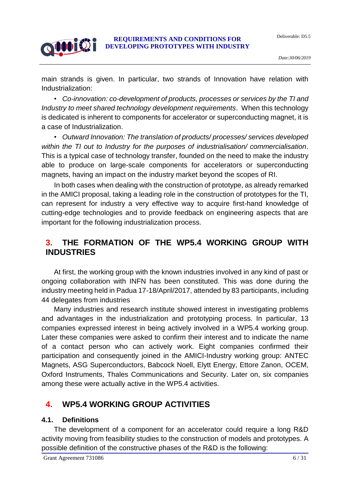main strands is given. In particular, two strands of Innovation have relation with Industrialization:

• *Co-innovation: co-development of products, processes or services by the TI and Industry to meet shared technology development requirements*. When this technology is dedicated is inherent to components for accelerator or superconducting magnet, it is a case of Industrialization.

• *Outward Innovation: The translation of products/ processes/ services developed within the TI out to Industry for the purposes of industrialisation/ commercialisation*. This is a typical case of technology transfer, founded on the need to make the industry able to produce on large-scale components for accelerators or superconducting magnets, having an impact on the industry market beyond the scopes of RI.

In both cases when dealing with the construction of prototype, as already remarked in the AMICI proposal, taking a leading role in the construction of prototypes for the TI, can represent for industry a very effective way to acquire first-hand knowledge of cutting-edge technologies and to provide feedback on engineering aspects that are important for the following industrialization process.

## <span id="page-5-0"></span>**3. THE FORMATION OF THE WP5.4 WORKING GROUP WITH INDUSTRIES**

At first, the working group with the known industries involved in any kind of past or ongoing collaboration with INFN has been constituted. This was done during the industry meeting held in Padua 17-18/April/2017, attended by 83 participants, including 44 delegates from industries

Many industries and research institute showed interest in investigating problems and advantages in the industrialization and prototyping process. In particular, 13 companies expressed interest in being actively involved in a WP5.4 working group. Later these companies were asked to confirm their interest and to indicate the name of a contact person who can actively work. Eight companies confirmed their participation and consequently joined in the AMICI-Industry working group: ANTEC Magnets, ASG Superconductors, Babcock Noell, Elytt Energy, Ettore Zanon, OCEM, Oxford Instruments, Thales Communications and Security. Later on, six companies among these were actually active in the WP5.4 activities.

## <span id="page-5-1"></span>**4. WP5.4 WORKING GROUP ACTIVITIES**

#### <span id="page-5-2"></span>**4.1. Definitions**

**QUOID** 

The development of a component for an accelerator could require a long R&D activity moving from feasibility studies to the construction of models and prototypes. A possible definition of the constructive phases of the R&D is the following: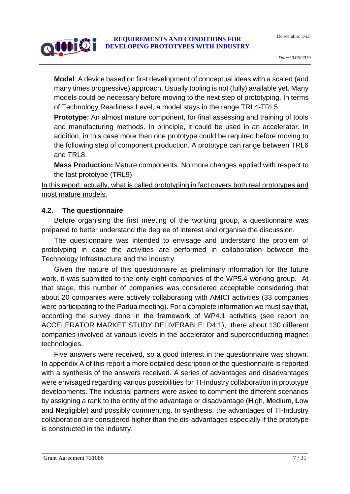# 0000192

#### **REQUIREMENTS AND CONDITIONS FOR DEVELOPING PROTOTYPES WITH INDUSTRY**

**Model**: A device based on first development of conceptual ideas with a scaled (and many times progressive) approach. Usually tooling is not (fully) available yet. Many models could be necessary before moving to the next step of prototyping. In terms of Technology Readiness Level, a model stays in the range TRL4-TRL5.

**Prototype:** An almost mature component, for final assessing and training of tools and manufacturing methods. In principle, it could be used in an accelerator. In addition, in this case more than one prototype could be required before moving to the following step of component production. A prototype can range between TRL6 and TRL8.

**Mass Production:** Mature components. No more changes applied with respect to the last prototype (TRL9)

In this report, actually, what is called prototyping in fact covers both real prototypes and most mature models.

#### <span id="page-6-0"></span>**4.2. The questionnaire**

Before organising the first meeting of the working group, a questionnaire was prepared to better understand the degree of interest and organise the discussion.

The questionnaire was intended to envisage and understand the problem of prototyping in case the activities are performed in collaboration between the Technology Infrastructure and the Industry.

Given the nature of this questionnaire as preliminary information for the future work, it was submitted to the only eight companies of the WP5.4 working group. At that stage, this number of companies was considered acceptable considering that about 20 companies were actively collaborating with AMICI activities (33 companies were participating to the Padua meeting). For a complete information we must say that, according the survey done in the framework of WP4.1 activities (see report on ACCELERATOR MARKET STUDY DELIVERABLE: D4.1), there about 130 different companies involved at various levels in the accelerator and superconducting magnet technologies.

Five answers were received, so a good interest in the questionnaire was shown. In appendix A of this report a more detailed description of the questionnaire is reported with a synthesis of the answers received. A series of advantages and disadvantages were envisaged regarding various possibilities for TI-Industry collaboration in prototype developments. The industrial partners were asked to comment the different scenarios by assigning a rank to the entity of the advantage or disadvantage (**H**igh, **M**edium, **L**ow and **N**egligible) and possibly commenting. In synthesis, the advantages of TI-Industry collaboration are considered higher than the dis-advantages especially if the prototype is constructed in the industry.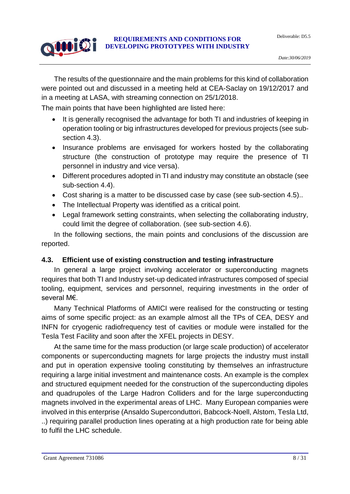# 0000192

#### **REQUIREMENTS AND CONDITIONS FOR DEVELOPING PROTOTYPES WITH INDUSTRY**

The results of the questionnaire and the main problems for this kind of collaboration were pointed out and discussed in a meeting held at CEA-Saclay on 19/12/2017 and in a meeting at LASA, with streaming connection on 25/1/2018.

The main points that have been highlighted are listed here:

- It is generally recognised the advantage for both TI and industries of keeping in operation tooling or big infrastructures developed for previous projects (see subsection 4.3).
- Insurance problems are envisaged for workers hosted by the collaborating structure (the construction of prototype may require the presence of TI personnel in industry and vice versa).
- Different procedures adopted in TI and industry may constitute an obstacle (see sub-section 4.4).
- Cost sharing is a matter to be discussed case by case (see sub-section 4.5)..
- The Intellectual Property was identified as a critical point.
- Legal framework setting constraints, when selecting the collaborating industry, could limit the degree of collaboration. (see sub-section 4.6).

In the following sections, the main points and conclusions of the discussion are reported.

# <span id="page-7-0"></span>**4.3. Efficient use of existing construction and testing infrastructure**

In general a large project involving accelerator or superconducting magnets requires that both TI and Industry set-up dedicated infrastructures composed of special tooling, equipment, services and personnel, requiring investments in the order of several M€.

Many Technical Platforms of AMICI were realised for the constructing or testing aims of some specific project: as an example almost all the TPs of CEA, DESY and INFN for cryogenic radiofrequency test of cavities or module were installed for the Tesla Test Facility and soon after the XFEL projects in DESY.

At the same time for the mass production (or large scale production) of accelerator components or superconducting magnets for large projects the industry must install and put in operation expensive tooling constituting by themselves an infrastructure requiring a large initial investment and maintenance costs. An example is the complex and structured equipment needed for the construction of the superconducting dipoles and quadrupoles of the Large Hadron Colliders and for the large superconducting magnets involved in the experimental areas of LHC. Many European companies were involved in this enterprise (Ansaldo Superconduttori, Babcock-Noell, Alstom, Tesla Ltd, ..) requiring parallel production lines operating at a high production rate for being able to fulfil the LHC schedule.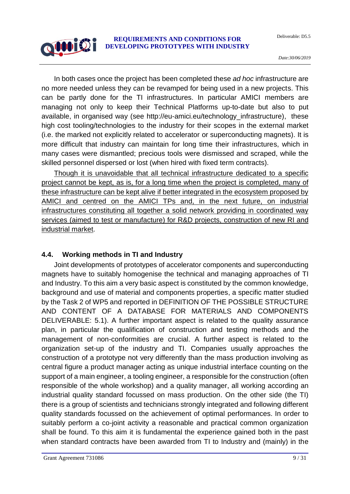In both cases once the project has been completed these *ad hoc* infrastructure are no more needed unless they can be revamped for being used in a new projects. This can be partly done for the TI infrastructures. In particular AMICI members are managing not only to keep their Technical Platforms up-to-date but also to put available, in organised way (see http://eu-amici.eu/technology\_infrastructure), these high cost tooling/technologies to the industry for their scopes in the external market (i.e. the marked not explicitly related to accelerator or superconducting magnets). It is more difficult that industry can maintain for long time their infrastructures, which in many cases were dismantled; precious tools were dismissed and scraped, while the skilled personnel dispersed or lost (when hired with fixed term contracts).

Though it is unavoidable that all technical infrastructure dedicated to a specific project cannot be kept, as is, for a long time when the project is completed, many of these infrastructure can be kept alive if better integrated in the ecosystem proposed by AMICI and centred on the AMICI TPs and, in the next future, on industrial infrastructures constituting all together a solid network providing in coordinated way services (aimed to test or manufacture) for R&D projects, construction of new RI and industrial market.

#### <span id="page-8-0"></span>**4.4. Working methods in TI and Industry**

0000102

Joint developments of prototypes of accelerator components and superconducting magnets have to suitably homogenise the technical and managing approaches of TI and Industry. To this aim a very basic aspect is constituted by the common knowledge, background and use of material and components properties, a specific matter studied by the Task 2 of WP5 and reported in DEFINITION OF THE POSSIBLE STRUCTURE AND CONTENT OF A DATABASE FOR MATERIALS AND COMPONENTS DELIVERABLE: 5.1). A further important aspect is related to the quality assurance plan, in particular the qualification of construction and testing methods and the management of non-conformities are crucial. A further aspect is related to the organization set-up of the industry and TI. Companies usually approaches the construction of a prototype not very differently than the mass production involving as central figure a product manager acting as unique industrial interface counting on the support of a main engineer, a tooling engineer, a responsible for the construction (often responsible of the whole workshop) and a quality manager, all working according an industrial quality standard focussed on mass production. On the other side (the TI) there is a group of scientists and technicians strongly integrated and following different quality standards focussed on the achievement of optimal performances. In order to suitably perform a co-joint activity a reasonable and practical common organization shall be found. To this aim it is fundamental the experience gained both in the past when standard contracts have been awarded from TI to Industry and (mainly) in the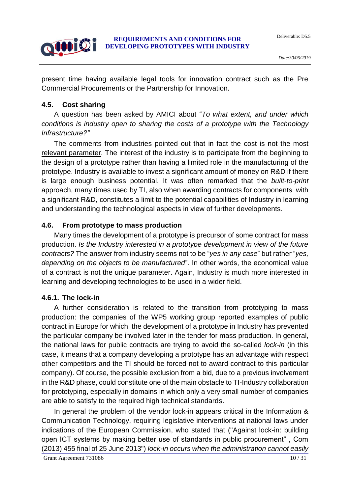Deliverable: D5.5



present time having available legal tools for innovation contract such as the Pre Commercial Procurements or the Partnership for Innovation.

#### <span id="page-9-0"></span>**4.5. Cost sharing**

A question has been asked by AMICI about "*To what extent, and under which conditions is industry open to sharing the costs of a prototype with the Technology Infrastructure?"*

The comments from industries pointed out that in fact the cost is not the most relevant parameter. The interest of the industry is to participate from the beginning to the design of a prototype rather than having a limited role in the manufacturing of the prototype. Industry is available to invest a significant amount of money on R&D if there is large enough business potential. It was often remarked that the *built-to-print* approach, many times used by TI, also when awarding contracts for components with a significant R&D, constitutes a limit to the potential capabilities of Industry in learning and understanding the technological aspects in view of further developments.

#### <span id="page-9-1"></span>**4.6. From prototype to mass production**

Many times the development of a prototype is precursor of some contract for mass production. *Is the Industry interested in a prototype development in view of the future contracts?* The answer from industry seems not to be "*yes in any case*" but rather "*yes, depending on the objects to be manufactured*". In other words, the economical value of a contract is not the unique parameter. Again, Industry is much more interested in learning and developing technologies to be used in a wider field.

#### <span id="page-9-2"></span>**4.6.1. The lock-in**

A further consideration is related to the transition from prototyping to mass production: the companies of the WP5 working group reported examples of public contract in Europe for which the development of a prototype in Industry has prevented the particular company be involved later in the tender for mass production. In general, the national laws for public contracts are trying to avoid the so-called *lock-in* (in this case, it means that a company developing a prototype has an advantage with respect other competitors and the TI should be forced not to award contract to this particular company). Of course, the possible exclusion from a bid, due to a previous involvement in the R&D phase, could constitute one of the main obstacle to TI-Industry collaboration for prototyping, especially in domains in which only a very small number of companies are able to satisfy to the required high technical standards.

In general the problem of the vendor lock-in appears critical in the Information & Communication Technology, requiring legislative interventions at national laws under indications of the European Commission, who stated that ("Against lock-in: building open ICT systems by making better use of standards in public procurement" , Com (2013) 455 final of 25 June 2013") *lock-in occurs when the administration cannot easily*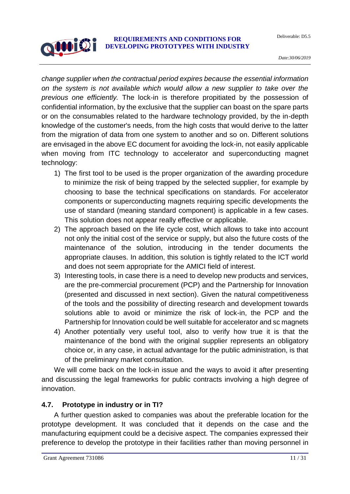*change supplier when the contractual period expires because the essential information on the system is not available which would allow a new supplier to take over the previous one efficiently.* The lock-in is therefore propitiated by the possession of confidential information, by the exclusive that the supplier can boast on the spare parts or on the consumables related to the hardware technology provided, by the in-depth knowledge of the customer's needs, from the high costs that would derive to the latter from the migration of data from one system to another and so on. Different solutions are envisaged in the above EC document for avoiding the lock-in, not easily applicable when moving from ITC technology to accelerator and superconducting magnet technology:

- 1) The first tool to be used is the proper organization of the awarding procedure to minimize the risk of being trapped by the selected supplier, for example by choosing to base the technical specifications on standards. For accelerator components or superconducting magnets requiring specific developments the use of standard (meaning standard component) is applicable in a few cases. This solution does not appear really effective or applicable.
- 2) The approach based on the life cycle cost, which allows to take into account not only the initial cost of the service or supply, but also the future costs of the maintenance of the solution, introducing in the tender documents the appropriate clauses. In addition, this solution is tightly related to the ICT world and does not seem appropriate for the AMICI field of interest.
- 3) Interesting tools, in case there is a need to develop new products and services, are the pre-commercial procurement (PCP) and the Partnership for Innovation (presented and discussed in next section). Given the natural competitiveness of the tools and the possibility of directing research and development towards solutions able to avoid or minimize the risk of lock-in, the PCP and the Partnership for Innovation could be well suitable for accelerator and sc magnets
- 4) Another potentially very useful tool, also to verify how true it is that the maintenance of the bond with the original supplier represents an obligatory choice or, in any case, in actual advantage for the public administration, is that of the preliminary market consultation.

We will come back on the lock-in issue and the ways to avoid it after presenting and discussing the legal frameworks for public contracts involving a high degree of innovation.

#### <span id="page-10-0"></span>**4.7. Prototype in industry or in TI?**

A further question asked to companies was about the preferable location for the prototype development. It was concluded that it depends on the case and the manufacturing equipment could be a decisive aspect. The companies expressed their preference to develop the prototype in their facilities rather than moving personnel in

**QUOID!**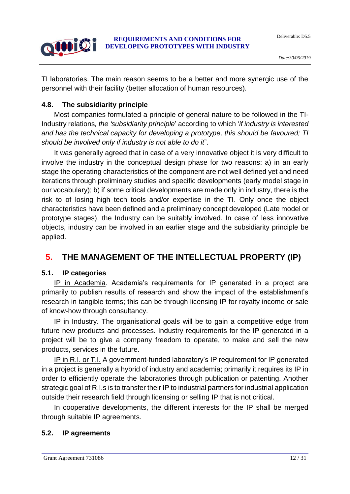Deliverable: D5.5



#### **REQUIREMENTS AND CONDITIONS FOR DEVELOPING PROTOTYPES WITH INDUSTRY**

TI laboratories. The main reason seems to be a better and more synergic use of the personnel with their facility (better allocation of human resources).

## <span id="page-11-0"></span>**4.8. The subsidiarity principle**

Most companies formulated a principle of general nature to be followed in the TI-Industry relations*, the 'subsidiarity principle*' according to which '*if industry is interested and has the technical capacity for developing a prototype, this should be favoured; TI should be involved only if industry is not able to do it*".

It was generally agreed that in case of a very innovative object it is very difficult to involve the industry in the conceptual design phase for two reasons: a) in an early stage the operating characteristics of the component are not well defined yet and need iterations through preliminary studies and specific developments (early model stage in our vocabulary); b) if some critical developments are made only in industry, there is the risk to of losing high tech tools and/or expertise in the TI. Only once the object characteristics have been defined and a preliminary concept developed (Late model or prototype stages), the Industry can be suitably involved. In case of less innovative objects, industry can be involved in an earlier stage and the subsidiarity principle be applied.

# <span id="page-11-1"></span>**5. THE MANAGEMENT OF THE INTELLECTUAL PROPERTY (IP)**

# <span id="page-11-2"></span>**5.1. IP categories**

IP in Academia. Academia's requirements for IP generated in a project are primarily to publish results of research and show the impact of the establishment's research in tangible terms; this can be through licensing IP for royalty income or sale of know-how through consultancy.

IP in Industry. The organisational goals will be to gain a competitive edge from future new products and processes. Industry requirements for the IP generated in a project will be to give a company freedom to operate, to make and sell the new products, services in the future.

IP in R.I. or T.I. A government-funded laboratory's IP requirement for IP generated in a project is generally a hybrid of industry and academia; primarily it requires its IP in order to efficiently operate the laboratories through publication or patenting. Another strategic goal of R.I.s is to transfer their IP to industrial partners for industrial application outside their research field through licensing or selling IP that is not critical.

In cooperative developments, the different interests for the IP shall be merged through suitable IP agreements.

# <span id="page-11-3"></span>**5.2. IP agreements**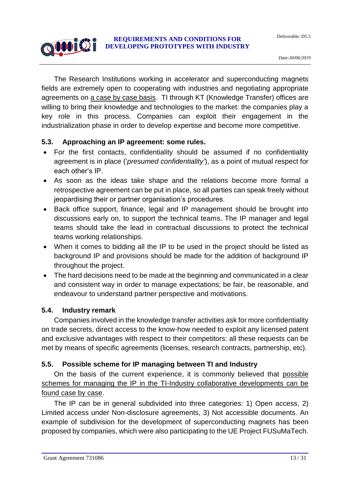The Research Institutions working in accelerator and superconducting magnets fields are extremely open to cooperating with industries and negotiating appropriate agreements on a case by case basis. TI through KT (Knowledge Transfer) offices are willing to bring their knowledge and technologies to the market: the companies play a key role in this process. Companies can exploit their engagement in the industrialization phase in order to develop expertise and become more competitive.

#### <span id="page-12-0"></span>**5.3. Approaching an IP agreement: some rules.**

- For the first contacts, confidentiality should be assumed if no confidentiality agreement is in place ('*presumed confidentiality'*), as a point of mutual respect for each other's IP.
- As soon as the ideas take shape and the relations become more formal a retrospective agreement can be put in place, so all parties can speak freely without jeopardising their or partner organisation's procedures.
- Back office support, finance, legal and IP management should be brought into discussions early on, to support the technical teams. The IP manager and legal teams should take the lead in contractual discussions to protect the technical teams working relationships.
- When it comes to bidding all the IP to be used in the project should be listed as background IP and provisions should be made for the addition of background IP throughout the project.
- The hard decisions need to be made at the beginning and communicated in a clear and consistent way in order to manage expectations; be fair, be reasonable, and endeavour to understand partner perspective and motivations.

#### <span id="page-12-1"></span>**5.4. Industry remark**

0000192

Companies involved in the knowledge transfer activities ask for more confidentiality on trade secrets, direct access to the know-how needed to exploit any licensed patent and exclusive advantages with respect to their competitors: all these requests can be met by means of specific agreements (licenses, research contracts, partnership, etc).

#### <span id="page-12-2"></span>**5.5. Possible scheme for IP managing between TI and Industry**

On the basis of the current experience, it is commonly believed that possible schemes for managing the IP in the TI-Industry collaborative developments can be found case by case.

The IP can be in general subdivided into three categories: 1) Open access, 2) Limited access under Non-disclosure agreements, 3) Not accessible documents. An example of subdivision for the development of superconducting magnets has been proposed by companies, which were also participating to the UE Project FUSuMaTech.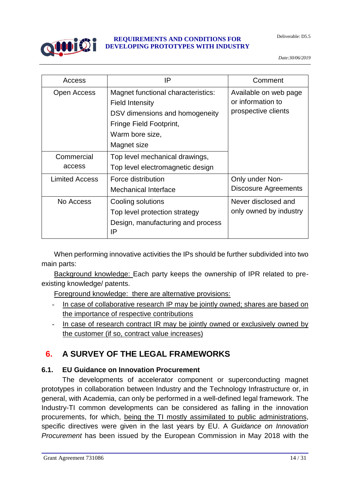

| Access                | IP                                                                                                                                                          | Comment                                                           |
|-----------------------|-------------------------------------------------------------------------------------------------------------------------------------------------------------|-------------------------------------------------------------------|
| Open Access           | Magnet functional characteristics:<br><b>Field Intensity</b><br>DSV dimensions and homogeneity<br>Fringe Field Footprint,<br>Warm bore size,<br>Magnet size | Available on web page<br>or information to<br>prospective clients |
| Commercial<br>access  | Top level mechanical drawings,<br>Top level electromagnetic design                                                                                          |                                                                   |
| <b>Limited Access</b> | Force distribution<br>Mechanical Interface                                                                                                                  | Only under Non-<br>Discosure Agreements                           |
| No Access             | Cooling solutions<br>Top level protection strategy<br>Design, manufacturing and process<br>IP                                                               | Never disclosed and<br>only owned by industry                     |

When performing innovative activities the IPs should be further subdivided into two main parts:

Background knowledge: Each party keeps the ownership of IPR related to preexisting knowledge/ patents.

Foreground knowledge: there are alternative provisions:

- In case of collaborative research IP may be jointly owned; shares are based on the importance of respective contributions
- In case of research contract IR may be jointly owned or exclusively owned by the customer (if so, contract value increases)

# <span id="page-13-0"></span>**6. A SURVEY OF THE LEGAL FRAMEWORKS**

#### <span id="page-13-1"></span>**6.1. EU Guidance on Innovation Procurement**

The developments of accelerator component or superconducting magnet prototypes in collaboration between Industry and the Technology Infrastructure or, in general, with Academia, can only be performed in a well-defined legal framework. The Industry-TI common developments can be considered as falling in the innovation procurements, for which, being the TI mostly assimilated to public administrations, specific directives were given in the last years by EU. A *Guidance on Innovation Procurement* has been issued by the European Commission in May 2018 with the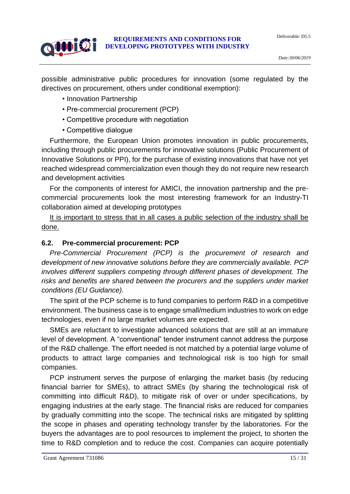

possible administrative public procedures for innovation (some regulated by the directives on procurement, others under conditional exemption):

- Innovation Partnership
- Pre-commercial procurement (PCP)
- Competitive procedure with negotiation
- Competitive dialogue

Furthermore, the European Union promotes innovation in public procurements, including through public procurements for innovative solutions (Public Procurement of Innovative Solutions or PPI), for the purchase of existing innovations that have not yet reached widespread commercialization even though they do not require new research and development activities

For the components of interest for AMICI, the innovation partnership and the precommercial procurements look the most interesting framework for an Industry-TI collaboration aimed at developing prototypes

It is important to stress that in all cases a public selection of the industry shall be done.

#### <span id="page-14-0"></span>**6.2. Pre-commercial procurement: PCP**

*Pre-Commercial Procurement (PCP) is the procurement of research and development of new innovative solutions before they are commercially available. PCP involves different suppliers competing through different phases of development. The risks and benefits are shared between the procurers and the suppliers under market conditions (EU Guidance).*

The spirit of the PCP scheme is to fund companies to perform R&D in a competitive environment. The business case is to engage small/medium industries to work on edge technologies, even if no large market volumes are expected.

SMEs are reluctant to investigate advanced solutions that are still at an immature level of development. A "conventional" tender instrument cannot address the purpose of the R&D challenge. The effort needed is not matched by a potential large volume of products to attract large companies and technological risk is too high for small companies.

PCP instrument serves the purpose of enlarging the market basis (by reducing financial barrier for SMEs), to attract SMEs (by sharing the technological risk of committing into difficult R&D), to mitigate risk of over or under specifications, by engaging industries at the early stage. The financial risks are reduced for companies by gradually committing into the scope. The technical risks are mitigated by splitting the scope in phases and operating technology transfer by the laboratories. For the buyers the advantages are to pool resources to implement the project, to shorten the time to R&D completion and to reduce the cost. Companies can acquire potentially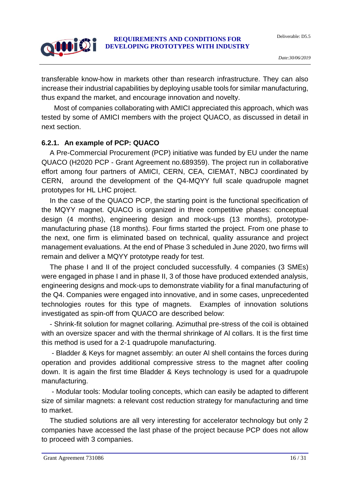Deliverable: D5.5



#### **REQUIREMENTS AND CONDITIONS FOR DEVELOPING PROTOTYPES WITH INDUSTRY**

transferable know-how in markets other than research infrastructure. They can also increase their industrial capabilities by deploying usable tools for similar manufacturing, thus expand the market, and encourage innovation and novelty.

Most of companies collaborating with AMICI appreciated this approach, which was tested by some of AMICI members with the project QUACO, as discussed in detail in next section.

#### <span id="page-15-0"></span>**6.2.1. An example of PCP: QUACO**

A Pre-Commercial Procurement (PCP) initiative was funded by EU under the name QUACO (H2020 PCP - Grant Agreement no.689359). The project run in collaborative effort among four partners of AMICI, CERN, CEA, CIEMAT, NBCJ coordinated by CERN, around the development of the Q4-MQYY full scale quadrupole magnet prototypes for HL LHC project.

In the case of the QUACO PCP, the starting point is the functional specification of the MQYY magnet. QUACO is organized in three competitive phases: conceptual design (4 months), engineering design and mock-ups (13 months), prototypemanufacturing phase (18 months). Four firms started the project. From one phase to the next, one firm is eliminated based on technical, quality assurance and project management evaluations. At the end of Phase 3 scheduled in June 2020, two firms will remain and deliver a MQYY prototype ready for test.

The phase I and II of the project concluded successfully. 4 companies (3 SMEs) were engaged in phase I and in phase II, 3 of those have produced extended analysis, engineering designs and mock-ups to demonstrate viability for a final manufacturing of the Q4. Companies were engaged into innovative, and in some cases, unprecedented technologies routes for this type of magnets. Examples of innovation solutions investigated as spin-off from QUACO are described below:

- Shrink-fit solution for magnet collaring. Azimuthal pre-stress of the coil is obtained with an oversize spacer and with the thermal shrinkage of Al collars. It is the first time this method is used for a 2-1 quadrupole manufacturing.

- Bladder & Keys for magnet assembly: an outer Al shell contains the forces during operation and provides additional compressive stress to the magnet after cooling down. It is again the first time Bladder & Keys technology is used for a quadrupole manufacturing.

- Modular tools: Modular tooling concepts, which can easily be adapted to different size of similar magnets: a relevant cost reduction strategy for manufacturing and time to market.

The studied solutions are all very interesting for accelerator technology but only 2 companies have accessed the last phase of the project because PCP does not allow to proceed with 3 companies.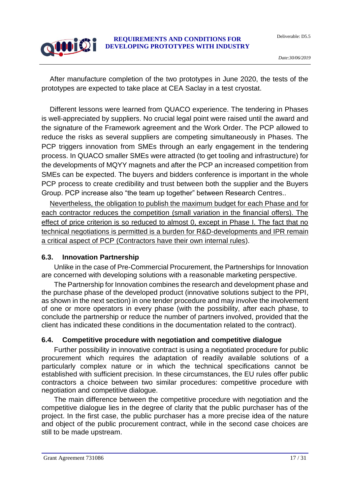Deliverable: D5.5

# 0000192

#### **REQUIREMENTS AND CONDITIONS FOR DEVELOPING PROTOTYPES WITH INDUSTRY**

After manufacture completion of the two prototypes in June 2020, the tests of the prototypes are expected to take place at CEA Saclay in a test cryostat.

Different lessons were learned from QUACO experience. The tendering in Phases is well-appreciated by suppliers. No crucial legal point were raised until the award and the signature of the Framework agreement and the Work Order. The PCP allowed to reduce the risks as several suppliers are competing simultaneously in Phases. The PCP triggers innovation from SMEs through an early engagement in the tendering process. In QUACO smaller SMEs were attracted (to get tooling and infrastructure) for the developments of MQYY magnets and after the PCP an increased competition from SMEs can be expected. The buyers and bidders conference is important in the whole PCP process to create credibility and trust between both the supplier and the Buyers Group. PCP increase also "the team up together" between Research Centres..

Nevertheless, the obligation to publish the maximum budget for each Phase and for each contractor reduces the competition (small variation in the financial offers). The effect of price criterion is so reduced to almost 0, except in Phase I. The fact that no technical negotiations is permitted is a burden for R&D-developments and IPR remain a critical aspect of PCP (Contractors have their own internal rules).

#### <span id="page-16-0"></span>**6.3. Innovation Partnership**

Unlike in the case of Pre-Commercial Procurement, the Partnerships for Innovation are concerned with developing solutions with a reasonable marketing perspective.

The Partnership for Innovation combines the research and development phase and the purchase phase of the developed product (innovative solutions subject to the PPI, as shown in the next section) in one tender procedure and may involve the involvement of one or more operators in every phase (with the possibility, after each phase, to conclude the partnership or reduce the number of partners involved, provided that the client has indicated these conditions in the documentation related to the contract).

## <span id="page-16-1"></span>**6.4. Competitive procedure with negotiation and competitive dialogue**

Further possibility in innovative contract is using a negotiated procedure for public procurement which requires the adaptation of readily available solutions of a particularly complex nature or in which the technical specifications cannot be established with sufficient precision. In these circumstances, the EU rules offer public contractors a choice between two similar procedures: competitive procedure with negotiation and competitive dialogue.

The main difference between the competitive procedure with negotiation and the competitive dialogue lies in the degree of clarity that the public purchaser has of the project. In the first case, the public purchaser has a more precise idea of the nature and object of the public procurement contract, while in the second case choices are still to be made upstream.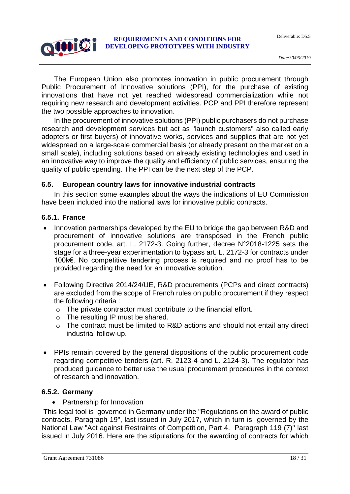The European Union also promotes innovation in public procurement through Public Procurement of Innovative solutions (PPI), for the purchase of existing innovations that have not yet reached widespread commercialization while not requiring new research and development activities. PCP and PPI therefore represent the two possible approaches to innovation.

In the procurement of innovative solutions (PPI) public purchasers do not purchase research and development services but act as "launch customers" also called early adopters or first buyers) of innovative works, services and supplies that are not yet widespread on a large-scale commercial basis (or already present on the market on a small scale), including solutions based on already existing technologies and used in an innovative way to improve the quality and efficiency of public services, ensuring the quality of public spending. The PPI can be the next step of the PCP.

#### <span id="page-17-0"></span>**6.5. European country laws for innovative industrial contracts**

In this section some examples about the ways the indications of EU Commission have been included into the national laws for innovative public contracts.

#### <span id="page-17-1"></span>**6.5.1. France**

0000192

- Innovation partnerships developed by the EU to bridge the gap between R&D and procurement of innovative solutions are transposed in the French public procurement code, art. L. 2172-3. Going further, decree N°2018-1225 sets the stage for a three-year experimentation to bypass art. L. 2172-3 for contracts under 100k€. No competitive tendering process is required and no proof has to be provided regarding the need for an innovative solution.
- Following Directive 2014/24/UE, R&D procurements (PCPs and direct contracts) are excluded from the scope of French rules on public procurement if they respect the following criteria :
	- o The private contractor must contribute to the financial effort.
	- o The resulting IP must be shared.
	- o The contract must be limited to R&D actions and should not entail any direct industrial follow-up.
- PPIs remain covered by the general dispositions of the public procurement code regarding competitive tenders (art. R. 2123-4 and L. 2124-3). The regulator has produced guidance to better use the usual procurement procedures in the context of research and innovation.

#### <span id="page-17-2"></span>**6.5.2. Germany**

• Partnership for Innovation

This legal tool is governed in Germany under the "Regulations on the award of public contracts, Paragraph 19", last issued in July 2017, which in turn is governed by the National Law "Act against Restraints of Competition, Part 4, Paragraph 119 (7)" last issued in July 2016. Here are the stipulations for the awarding of contracts for which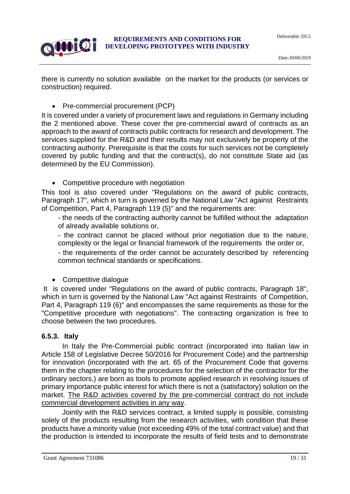

there is currently no solution available on the market for the products (or services or construction) required.

• Pre-commercial procurement (PCP)

It is covered under a variety of procurement laws and regulations in Germany including the 2 mentioned above. These cover the pre-commercial award of contracts as an approach to the award of contracts public contracts for research and development. The services supplied for the R&D and their results may not exclusively be property of the contracting authority. Prerequisite is that the costs for such services not be completely covered by public funding and that the contract(s), do not constitute State aid (as determined by the EU Commission).

• Competitive procedure with negotiation

This tool is also covered under "Regulations on the award of public contracts, Paragraph 17", which in turn is governed by the National Law "Act against Restraints of Competition, Part 4, Paragraph 119 (5)" and the requirements are:

- the needs of the contracting authority cannot be fulfilled without the adaptation of already available solutions or,

- the contract cannot be placed without prior negotiation due to the nature, complexity or the legal or financial framework of the requirements the order or,

- the requirements of the order cannot be accurately described by referencing common technical standards or specifications.

Competitive dialogue

It is covered under "Regulations on the award of public contracts, Paragraph 18", which in turn is governed by the National Law "Act against Restraints of Competition, Part 4, Paragraph 119 (6)" and encompasses the same requirements as those for the "Competitive procedure with negotiations". The contracting organization is free to choose between the two procedures.

#### <span id="page-18-0"></span>**6.5.3. Italy**

In Italy the Pre-Commercial public contract (incorporated into Italian law in Article 158 of Legislative Decree 50/2016 for Procurement Code) and the partnership for innovation (incorporated with the art. 65 of the Procurement Code that governs them in the chapter relating to the procedures for the selection of the contractor for the ordinary sectors.) are born as tools to promote applied research in resolving issues of primary importance public interest for which there is not a (satisfactory) solution on the market. The R&D activities covered by the pre-commercial contract do not include commercial development activities in any way.

Jointly with the R&D services contract, a limited supply is possible, consisting solely of the products resulting from the research activities, with condition that these products have a minority value (not exceeding 49% of the total contract value) and that the production is intended to incorporate the results of field tests and to demonstrate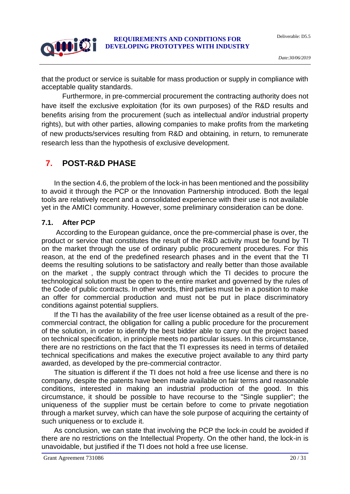Deliverable: D5.5



#### **REQUIREMENTS AND CONDITIONS FOR DEVELOPING PROTOTYPES WITH INDUSTRY**

that the product or service is suitable for mass production or supply in compliance with acceptable quality standards.

Furthermore, in pre-commercial procurement the contracting authority does not have itself the exclusive exploitation (for its own purposes) of the R&D results and benefits arising from the procurement (such as intellectual and/or industrial property rights), but with other parties, allowing companies to make profits from the marketing of new products/services resulting from R&D and obtaining, in return, to remunerate research less than the hypothesis of exclusive development.

## <span id="page-19-0"></span>**7. POST-R&D PHASE**

In the section 4.6, the problem of the lock-in has been mentioned and the possibility to avoid it through the PCP or the Innovation Partnership introduced. Both the legal tools are relatively recent and a consolidated experience with their use is not available yet in the AMICI community. However, some preliminary consideration can be done.

#### <span id="page-19-1"></span>**7.1. After PCP**

According to the European guidance, once the pre-commercial phase is over, the product or service that constitutes the result of the R&D activity must be found by TI on the market through the use of ordinary public procurement procedures. For this reason, at the end of the predefined research phases and in the event that the TI deems the resulting solutions to be satisfactory and really better than those available on the market , the supply contract through which the TI decides to procure the technological solution must be open to the entire market and governed by the rules of the Code of public contracts. In other words, third parties must be in a position to make an offer for commercial production and must not be put in place discriminatory conditions against potential suppliers.

If the TI has the availability of the free user license obtained as a result of the precommercial contract, the obligation for calling a public procedure for the procurement of the solution, in order to identify the best bidder able to carry out the project based on technical specification, in principle meets no particular issues. In this circumstance, there are no restrictions on the fact that the TI expresses its need in terms of detailed technical specifications and makes the executive project available to any third party awarded, as developed by the pre-commercial contractor.

The situation is different if the TI does not hold a free use license and there is no company, despite the patents have been made available on fair terms and reasonable conditions, interested in making an industrial production of the good. In this circumstance, it should be possible to have recourse to the "Single supplier"; the uniqueness of the supplier must be certain before to come to private negotiation through a market survey, which can have the sole purpose of acquiring the certainty of such uniqueness or to exclude it.

As conclusion, we can state that involving the PCP the lock-in could be avoided if there are no restrictions on the Intellectual Property. On the other hand, the lock-in is unavoidable, but justified if the TI does not hold a free use license.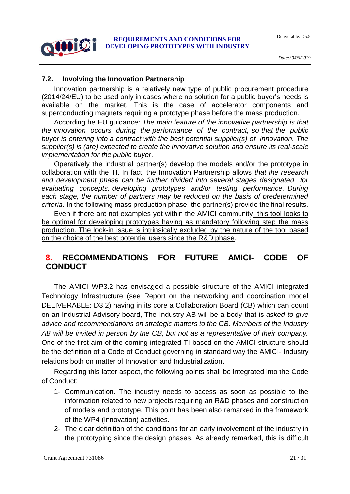

#### <span id="page-20-0"></span>**7.2. Involving the Innovation Partnership**

Innovation partnership is a relatively new type of public procurement procedure (2014/24/EU) to be used only in cases where no solution for a public buyer's needs is available on the market. This is the case of accelerator components and superconducting magnets requiring a prototype phase before the mass production.

According he EU guidance: *The main feature of the innovative partnership is that the innovation occurs during the performance of the contract, so that the public buyer is entering into a contract with the best potential supplier(s) of innovation. The supplier(s) is (are) expected to create the innovative solution and ensure its real-scale implementation for the public buyer*.

Operatively the industrial partner(s) develop the models and/or the prototype in collaboration with the TI. In fact, the Innovation Partnership allows *that the research and development phase can be further divided into several stages designated for evaluating concepts, developing prototypes and/or testing performance. During each stage, the number of partners may be reduced on the basis of predetermined criteria*. In the following mass production phase, the partner(s) provide the final results.

Even if there are not examples yet within the AMICI community, this tool looks to be optimal for developing prototypes having as mandatory following step the mass production. The lock-in issue is intrinsically excluded by the nature of the tool based on the choice of the best potential users since the R&D phase.

## <span id="page-20-1"></span>**8. RECOMMENDATIONS FOR FUTURE AMICI- CODE OF CONDUCT**

The AMICI WP3.2 has envisaged a possible structure of the AMICI integrated Technology Infrastructure (see Report on the networking and coordination model DELIVERABLE: D3.2) having in its core a Collaboration Board (CB) which can count on an Industrial Advisory board, The Industry AB will be a body that is *asked to give advice and recommendations on strategic matters to the CB. Members of the Industry AB will be invited in person by the CB, but not as a representative of their company.* One of the first aim of the coming integrated TI based on the AMICI structure should be the definition of a Code of Conduct governing in standard way the AMICI- Industry relations both on matter of Innovation and Industrialization.

Regarding this latter aspect, the following points shall be integrated into the Code of Conduct:

- 1- Communication. The industry needs to access as soon as possible to the information related to new projects requiring an R&D phases and construction of models and prototype. This point has been also remarked in the framework of the WP4 (Innovation) activities.
- 2- The clear definition of the conditions for an early involvement of the industry in the prototyping since the design phases. As already remarked, this is difficult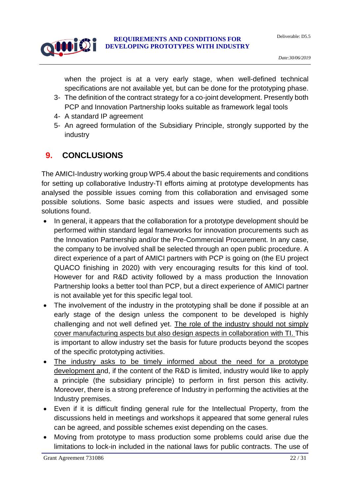

when the project is at a very early stage, when well-defined technical specifications are not available yet, but can be done for the prototyping phase.

- 3- The definition of the contract strategy for a co-joint development. Presently both PCP and Innovation Partnership looks suitable as framework legal tools
- 4- A standard IP agreement
- 5- An agreed formulation of the Subsidiary Principle, strongly supported by the industry

# <span id="page-21-0"></span>**9. CONCLUSIONS**

The AMICI-Industry working group WP5.4 about the basic requirements and conditions for setting up collaborative Industry-TI efforts aiming at prototype developments has analysed the possible issues coming from this collaboration and envisaged some possible solutions. Some basic aspects and issues were studied, and possible solutions found.

- In general, it appears that the collaboration for a prototype development should be performed within standard legal frameworks for innovation procurements such as the Innovation Partnership and/or the Pre-Commercial Procurement. In any case, the company to be involved shall be selected through an open public procedure. A direct experience of a part of AMICI partners with PCP is going on (the EU project QUACO finishing in 2020) with very encouraging results for this kind of tool. However for and R&D activity followed by a mass production the Innovation Partnership looks a better tool than PCP, but a direct experience of AMICI partner is not available yet for this specific legal tool.
- The involvement of the industry in the prototyping shall be done if possible at an early stage of the design unless the component to be developed is highly challenging and not well defined yet. The role of the industry should not simply cover manufacturing aspects but also design aspects in collaboration with TI. This is important to allow industry set the basis for future products beyond the scopes of the specific prototyping activities.
- The industry asks to be timely informed about the need for a prototype development and, if the content of the R&D is limited, industry would like to apply a principle (the subsidiary principle) to perform in first person this activity. Moreover, there is a strong preference of Industry in performing the activities at the Industry premises.
- Even if it is difficult finding general rule for the Intellectual Property, from the discussions held in meetings and workshops it appeared that some general rules can be agreed, and possible schemes exist depending on the cases.
- Moving from prototype to mass production some problems could arise due the limitations to lock-in included in the national laws for public contracts. The use of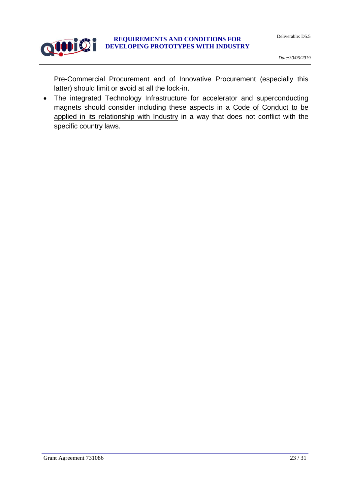

Pre-Commercial Procurement and of Innovative Procurement (especially this latter) should limit or avoid at all the lock-in.

 The integrated Technology Infrastructure for accelerator and superconducting magnets should consider including these aspects in a Code of Conduct to be applied in its relationship with Industry in a way that does not conflict with the specific country laws.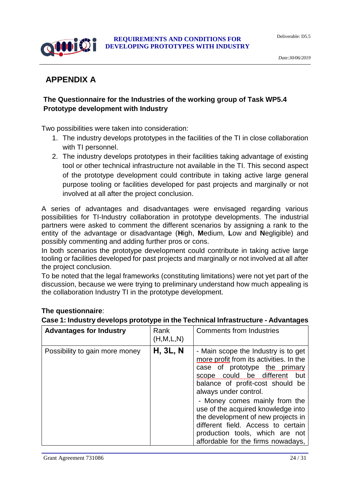

# <span id="page-23-0"></span>**APPENDIX A**

#### **The Questionnaire for the Industries of the working group of Task WP5.4 Prototype development with Industry**

Two possibilities were taken into consideration:

- 1. The industry develops prototypes in the facilities of the TI in close collaboration with TI personnel.
- 2. The industry develops prototypes in their facilities taking advantage of existing tool or other technical infrastructure not available in the TI. This second aspect of the prototype development could contribute in taking active large general purpose tooling or facilities developed for past projects and marginally or not involved at all after the project conclusion.

A series of advantages and disadvantages were envisaged regarding various possibilities for TI-Industry collaboration in prototype developments. The industrial partners were asked to comment the different scenarios by assigning a rank to the entity of the advantage or disadvantage (**H**igh, **M**edium, **L**ow and **N**egligible) and possibly commenting and adding further pros or cons.

In both scenarios the prototype development could contribute in taking active large tooling or facilities developed for past projects and marginally or not involved at all after the project conclusion.

To be noted that the legal frameworks (constituting limitations) were not yet part of the discussion, because we were trying to preliminary understand how much appealing is the collaboration Industry TI in the prototype development.

#### **The questionnaire**:

#### **Case 1: Industry develops prototype in the Technical Infrastructure - Advantages**

| <b>Advantages for Industry</b> | Rank<br>(H, M, L, N) | <b>Comments from Industries</b>                                                                                                                                                                                                                                                                                                                                                                                                             |
|--------------------------------|----------------------|---------------------------------------------------------------------------------------------------------------------------------------------------------------------------------------------------------------------------------------------------------------------------------------------------------------------------------------------------------------------------------------------------------------------------------------------|
| Possibility to gain more money | <b>H, 3L, N</b>      | - Main scope the Industry is to get<br>more profit from its activities. In the<br>case of prototype the primary<br>scope could be different<br>but<br>balance of profit-cost should be<br>always under control.<br>- Money comes mainly from the<br>use of the acquired knowledge into<br>the development of new projects in<br>different field. Access to certain<br>production tools, which are not<br>affordable for the firms nowadays, |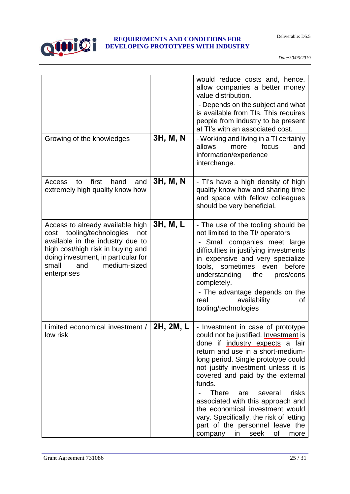

| Growing of the knowledges                                                                                                                                                                                                           | 3H, M, N  | would reduce costs and, hence,<br>allow companies a better money<br>value distribution.<br>- Depends on the subject and what<br>is available from TIs. This requires<br>people from industry to be present<br>at TI's with an associated cost.<br>- Working and living in a TI certainly                                                                                                                                                                                                                            |
|-------------------------------------------------------------------------------------------------------------------------------------------------------------------------------------------------------------------------------------|-----------|---------------------------------------------------------------------------------------------------------------------------------------------------------------------------------------------------------------------------------------------------------------------------------------------------------------------------------------------------------------------------------------------------------------------------------------------------------------------------------------------------------------------|
|                                                                                                                                                                                                                                     |           | allows<br>focus<br>more<br>and<br>information/experience<br>interchange.                                                                                                                                                                                                                                                                                                                                                                                                                                            |
| first<br>hand<br>and<br>Access<br>to<br>extremely high quality know how                                                                                                                                                             | 3H, M, N  | - Ti's have a high density of high<br>quality know how and sharing time<br>and space with fellow colleagues<br>should be very beneficial.                                                                                                                                                                                                                                                                                                                                                                           |
| Access to already available high<br>cost tooling/technologies<br>not<br>available in the industry due to<br>high cost/high risk in buying and<br>doing investment, in particular for<br>small<br>medium-sized<br>and<br>enterprises | 3H, M, L  | - The use of the tooling should be<br>not limited to the TI/ operators<br>- Small companies meet large<br>difficulties in justifying investments<br>in expensive and very specialize<br>tools, sometimes even<br>before<br>understanding<br>the<br>pros/cons<br>completely.<br>- The advantage depends on the<br>availability<br>real<br>οf<br>tooling/technologies                                                                                                                                                 |
| Limited economical investment /<br>low risk                                                                                                                                                                                         | 2H, 2M, L | - Investment in case of prototype<br>could not be justified. Investment is<br>done if industry expects a fair<br>return and use in a short-medium-<br>long period. Single prototype could<br>not justify investment unless it is<br>covered and paid by the external<br>funds.<br><b>There</b><br>risks<br>are<br>several<br>associated with this approach and<br>the economical investment would<br>vary. Specifically, the risk of letting<br>part of the personnel leave the<br>in seek<br>οf<br>company<br>more |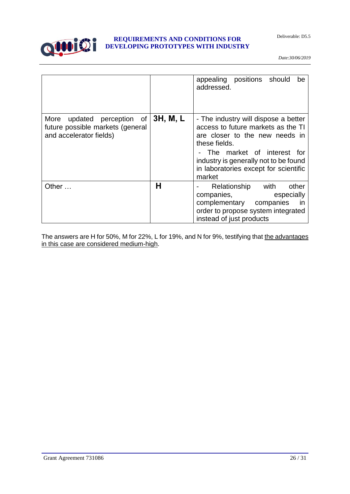Deliverable: D5.5



#### **REQUIREMENTS AND CONDITIONS FOR DEVELOPING PROTOTYPES WITH INDUSTRY**

*Date:30/06/2019*

|                                                                                              |          | appealing positions should<br>be<br>addressed.                                                                                                                                                                                                            |
|----------------------------------------------------------------------------------------------|----------|-----------------------------------------------------------------------------------------------------------------------------------------------------------------------------------------------------------------------------------------------------------|
| updated perception of<br>More<br>future possible markets (general<br>and accelerator fields) | 3H, M, L | - The industry will dispose a better<br>access to future markets as the TI<br>are closer to the new needs in<br>these fields.<br>- The market of interest for<br>industry is generally not to be found<br>in laboratories except for scientific<br>market |
| Other                                                                                        | н        | Relationship with<br>other<br>companies, companies,<br>especially<br>complementary companies<br>- in<br>order to propose system integrated<br>instead of just products                                                                                    |

The answers are H for 50%, M for 22%, L for 19%, and N for 9%, testifying that the advantages in this case are considered medium-high.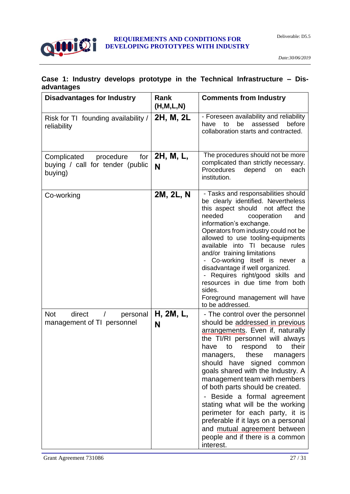

#### **Case 1: Industry develops prototype in the Technical Infrastructure – Disadvantages**

| <b>Disadvantages for Industry</b>                                                  | Rank<br>(H, M, L, N) | <b>Comments from Industry</b>                                                                                                                                                                                                                                                                                                                                                                                                                                                                                                                                                                                      |
|------------------------------------------------------------------------------------|----------------------|--------------------------------------------------------------------------------------------------------------------------------------------------------------------------------------------------------------------------------------------------------------------------------------------------------------------------------------------------------------------------------------------------------------------------------------------------------------------------------------------------------------------------------------------------------------------------------------------------------------------|
| Risk for TI founding availability /<br>reliability                                 | 2H, M, 2L            | - Foreseen availability and reliability<br>be<br>assessed<br>before<br>to<br>have<br>collaboration starts and contracted.                                                                                                                                                                                                                                                                                                                                                                                                                                                                                          |
| Complicated<br>procedure<br>for $ $<br>buying / call for tender (public<br>buying) | 2H, M, L,<br>N       | The procedures should not be more<br>complicated than strictly necessary.<br><b>Procedures</b><br>depend<br>on<br>each<br>institution.                                                                                                                                                                                                                                                                                                                                                                                                                                                                             |
| Co-working                                                                         | 2M, 2L, N            | - Tasks and responsabilities should<br>be clearly identified. Nevertheless<br>this aspect should not affect the<br>needed<br>cooperation<br>and<br>information's exchange.<br>Operators from industry could not be<br>allowed to use tooling-equipments<br>available into TI because rules<br>and/or training limitations<br>Co-working itself is never a<br>disadvantage if well organized.<br>Requires right/good skills and<br>$\overline{\phantom{0}}$<br>resources in due time from both<br>sides.<br>Foreground management will have<br>to be addressed.                                                     |
| <b>Not</b><br>direct<br>personal<br>management of TI personnel                     | H, 2M, L,<br>N       | - The control over the personnel<br>should be addressed in previous<br>arrangements. Even if, naturally<br>the TI/RI personnel will always<br>respond to<br>their<br>have<br>to<br>these managers<br>managers,<br>should have signed<br>common<br>goals shared with the Industry. A<br>management team with members<br>of both parts should be created.<br>Beside a formal agreement<br>$\qquad \qquad \blacksquare$<br>stating what will be the working<br>perimeter for each party, it is<br>preferable if it lays on a personal<br>and mutual agreement between<br>people and if there is a common<br>interest. |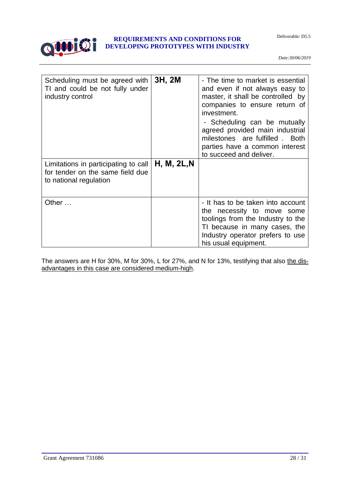



| Scheduling must be agreed with<br>TI and could be not fully under<br>industry control              | 3H, 2M      | - The time to market is essential<br>and even if not always easy to<br>master, it shall be controlled by<br>companies to ensure return of<br>investment.<br>- Scheduling can be mutually<br>agreed provided main industrial<br>milestones are fulfilled . Both<br>parties have a common interest<br>to succeed and deliver. |
|----------------------------------------------------------------------------------------------------|-------------|-----------------------------------------------------------------------------------------------------------------------------------------------------------------------------------------------------------------------------------------------------------------------------------------------------------------------------|
| Limitations in participating to call<br>for tender on the same field due<br>to national regulation | H, M, 2L, N |                                                                                                                                                                                                                                                                                                                             |
| Other                                                                                              |             | - It has to be taken into account<br>the necessity to move some<br>toolings from the Industry to the<br>TI because in many cases, the<br>Industry operator prefers to use<br>his usual equipment.                                                                                                                           |

The answers are H for 30%, M for 30%, L for 27%, and N for 13%, testifying that also the disadvantages in this case are considered medium-high.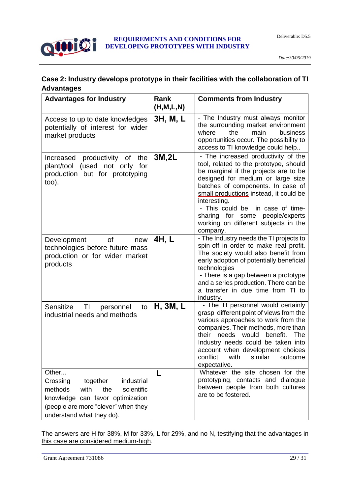

#### **Case 2: Industry develops prototype in their facilities with the collaboration of TI Advantages**

| <b>Advantages for Industry</b>                                                                                                                                                              | Rank<br>(H, M, L, N) | <b>Comments from Industry</b>                                                                                                                                                                                                                                                                                                                                                         |
|---------------------------------------------------------------------------------------------------------------------------------------------------------------------------------------------|----------------------|---------------------------------------------------------------------------------------------------------------------------------------------------------------------------------------------------------------------------------------------------------------------------------------------------------------------------------------------------------------------------------------|
| Access to up to date knowledges<br>potentially of interest for wider<br>market products                                                                                                     | 3H, M, L             | - The Industry must always monitor<br>the surrounding market environment<br>where<br>business<br>the<br>main<br>opportunities occur. The possibility to<br>access to TI knowledge could help                                                                                                                                                                                          |
| productivity of<br>the<br>Increased<br>plant/tool (used not only for<br>production but for prototyping<br>too).                                                                             | 3M,2L                | - The increased productivity of the<br>tool, related to the prototype, should<br>be marginal if the projects are to be<br>designed for medium or large size<br>batches of components. In case of<br>small productions instead, it could be<br>interesting.<br>- This could be in case of time-<br>sharing for some people/experts<br>working on different subjects in the<br>company. |
| 0f<br>Development<br>new<br>technologies before future mass<br>production or for wider market<br>products                                                                                   | 4H, L                | - The Industry needs the TI projects to<br>spin-off in order to make real profit.<br>The society would also benefit from<br>early adoption of potentially beneficial<br>technologies<br>- There is a gap between a prototype<br>and a series production. There can be<br>a transfer in due time from TI to<br>industry.                                                               |
| T1<br>Sensitize<br>to<br>personnel<br>industrial needs and methods                                                                                                                          | H, 3M, L             | - The TI personnel would certainly<br>grasp different point of views from the<br>various approaches to work from the<br>companies. Their methods, more than<br>their needs would<br>benefit.<br>The<br>Industry needs could be taken into<br>account when development choices<br>with<br>conflict<br>similar<br>outcome<br>expectative.                                               |
| Other<br>Crossing<br>together<br>industrial<br>methods<br>the<br>with<br>scientific<br>knowledge can favor optimization<br>(people are more "clever" when they<br>understand what they do). | L                    | Whatever the site chosen for the<br>prototyping, contacts and dialogue<br>between people from both cultures<br>are to be fostered.                                                                                                                                                                                                                                                    |

The answers are H for 38%, M for 33%, L for 29%, and no N, testifying that the advantages in this case are considered medium-high.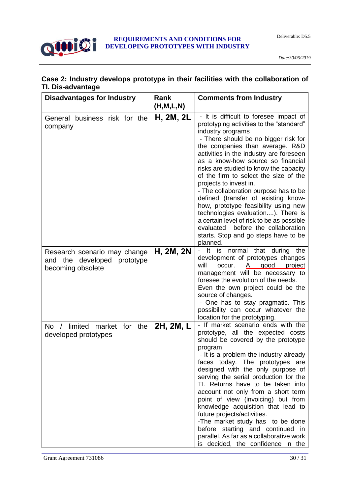

#### **Case 2: Industry develops prototype in their facilities with the collaboration of TI. Dis-advantage**

| <b>Disadvantages for Industry</b>                                                      | Rank<br>(H, M, L, N) | <b>Comments from Industry</b>                                                                                                                                                                                                                                                                                                                                                                                                                                                                                                                                                                                                                                                        |
|----------------------------------------------------------------------------------------|----------------------|--------------------------------------------------------------------------------------------------------------------------------------------------------------------------------------------------------------------------------------------------------------------------------------------------------------------------------------------------------------------------------------------------------------------------------------------------------------------------------------------------------------------------------------------------------------------------------------------------------------------------------------------------------------------------------------|
| General business risk for the<br>company                                               | H, 2M, 2L            | - It is difficult to foresee impact of<br>prototyping activities to the "standard"<br>industry programs<br>- There should be no bigger risk for<br>the companies than average. R&D<br>activities in the industry are foreseen<br>as a know-how source so financial<br>risks are studied to know the capacity<br>of the firm to select the size of the<br>projects to invest in.<br>- The collaboration purpose has to be<br>defined (transfer of existing know-<br>how, prototype feasibility using new<br>technologies evaluation). There is<br>a certain level of risk to be as possible<br>evaluated before the collaboration<br>starts. Stop and go steps have to be<br>planned. |
| Research scenario may change<br>and the<br>developed<br>prototype<br>becoming obsolete | H, 2M, 2N            | - It is<br>normal that during the<br>development of prototypes changes<br>will<br>occur.<br>good<br>project<br>A<br>management will be necessary to<br>foresee the evolution of the needs.<br>Even the own project could be the<br>source of changes.<br>- One has to stay pragmatic. This<br>possibility can occur whatever the<br>location for the prototyping.                                                                                                                                                                                                                                                                                                                    |
| limited market for the<br>No.<br>$\sqrt{2}$<br>developed prototypes                    | 2H, 2M, L            | - If market scenario ends with the<br>prototype, all the expected costs<br>should be covered by the prototype<br>program<br>- It is a problem the industry already<br>faces today. The prototypes are<br>designed with the only purpose of<br>serving the serial production for the<br>TI. Returns have to be taken into<br>account not only from a short term<br>point of view (invoicing) but from<br>knowledge acquisition that lead to<br>future projects/activities.<br>-The market study has to be done<br>before starting and continued in<br>parallel. As far as a collaborative work<br>is decided, the confidence in the                                                   |